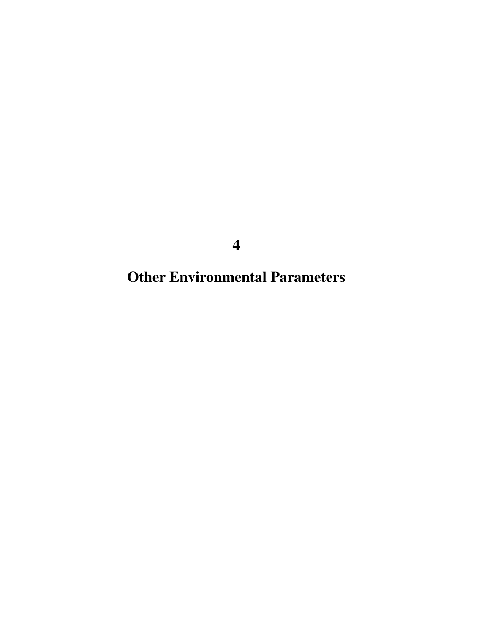**Other Environmental Parameters**

**4**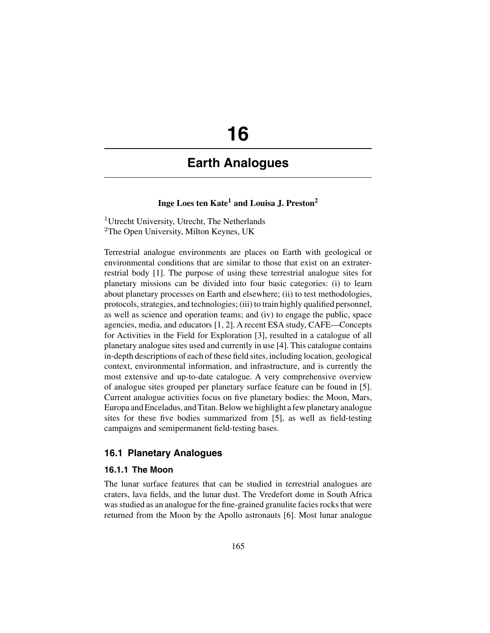# **16**

# **Earth Analogues**

# **Inge Loes ten Kate1 and Louisa J. Preston2**

<sup>1</sup>Utrecht University, Utrecht, The Netherlands <sup>2</sup>The Open University, Milton Keynes, UK

Terrestrial analogue environments are places on Earth with geological or environmental conditions that are similar to those that exist on an extraterrestrial body [1]. The purpose of using these terrestrial analogue sites for planetary missions can be divided into four basic categories: (i) to learn about planetary processes on Earth and elsewhere; (ii) to test methodologies, protocols, strategies, and technologies; (iii) to train highly qualified personnel, as well as science and operation teams; and (iv) to engage the public, space agencies, media, and educators [1, 2]. A recent ESA study, CAFE—Concepts for Activities in the Field for Exploration [3], resulted in a catalogue of all planetary analogue sites used and currently in use [4]. This catalogue contains in-depth descriptions of each of these field sites, including location, geological context, environmental information, and infrastructure, and is currently the most extensive and up-to-date catalogue. A very comprehensive overview of analogue sites grouped per planetary surface feature can be found in [5]. Current analogue activities focus on five planetary bodies: the Moon, Mars, Europa and Enceladus, and Titan. Below we highlight a few planetary analogue sites for these five bodies summarized from [5], as well as field-testing campaigns and semipermanent field-testing bases.

# **16.1 Planetary Analogues**

# **16.1.1 The Moon**

The lunar surface features that can be studied in terrestrial analogues are craters, lava fields, and the lunar dust. The Vredefort dome in South Africa was studied as an analogue for the fine-grained granulite facies rocks that were returned from the Moon by the Apollo astronauts [6]. Most lunar analogue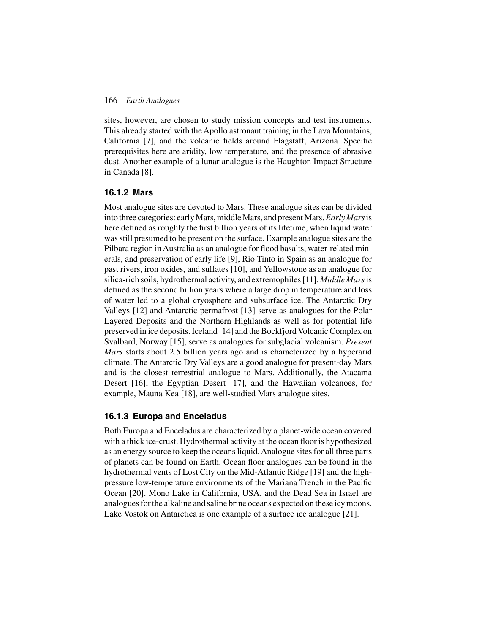#### 166 *Earth Analogues*

sites, however, are chosen to study mission concepts and test instruments. This already started with the Apollo astronaut training in the Lava Mountains, California [7], and the volcanic fields around Flagstaff, Arizona. Specific prerequisites here are aridity, low temperature, and the presence of abrasive dust. Another example of a lunar analogue is the Haughton Impact Structure in Canada [8].

#### **16.1.2 Mars**

Most analogue sites are devoted to Mars. These analogue sites can be divided into three categories: earlyMars, middleMars, and presentMars.*Early Mars*is here defined as roughly the first billion years of its lifetime, when liquid water was still presumed to be present on the surface. Example analogue sites are the Pilbara region in Australia as an analogue for flood basalts, water-related minerals, and preservation of early life [9], Rio Tinto in Spain as an analogue for past rivers, iron oxides, and sulfates [10], and Yellowstone as an analogue for silica-rich soils, hydrothermal activity, and extremophiles [11]. *Middle Mars*is defined as the second billion years where a large drop in temperature and loss of water led to a global cryosphere and subsurface ice. The Antarctic Dry Valleys [12] and Antarctic permafrost [13] serve as analogues for the Polar Layered Deposits and the Northern Highlands as well as for potential life preserved in ice deposits. Iceland [14] and the Bockfjord Volcanic Complex on Svalbard, Norway [15], serve as analogues for subglacial volcanism. *Present Mars* starts about 2.5 billion years ago and is characterized by a hyperarid climate. The Antarctic Dry Valleys are a good analogue for present-day Mars and is the closest terrestrial analogue to Mars. Additionally, the Atacama Desert [16], the Egyptian Desert [17], and the Hawaiian volcanoes, for example, Mauna Kea [18], are well-studied Mars analogue sites.

#### **16.1.3 Europa and Enceladus**

Both Europa and Enceladus are characterized by a planet-wide ocean covered with a thick ice-crust. Hydrothermal activity at the ocean floor is hypothesized as an energy source to keep the oceans liquid. Analogue sites for all three parts of planets can be found on Earth. Ocean floor analogues can be found in the hydrothermal vents of Lost City on the Mid-Atlantic Ridge [19] and the highpressure low-temperature environments of the Mariana Trench in the Pacific Ocean [20]. Mono Lake in California, USA, and the Dead Sea in Israel are analogues for the alkaline and saline brine oceans expected on these icy moons. Lake Vostok on Antarctica is one example of a surface ice analogue [21].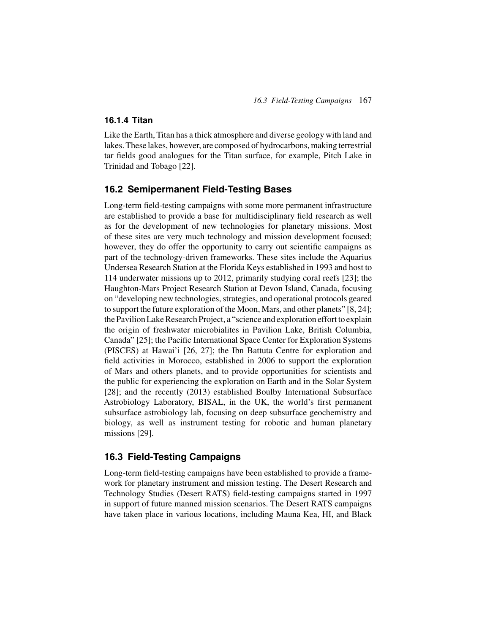## **16.1.4 Titan**

Like the Earth, Titan has a thick atmosphere and diverse geology with land and lakes. These lakes, however, are composed of hydrocarbons, making terrestrial tar fields good analogues for the Titan surface, for example, Pitch Lake in Trinidad and Tobago [22].

# **16.2 Semipermanent Field-Testing Bases**

Long-term field-testing campaigns with some more permanent infrastructure are established to provide a base for multidisciplinary field research as well as for the development of new technologies for planetary missions. Most of these sites are very much technology and mission development focused; however, they do offer the opportunity to carry out scientific campaigns as part of the technology-driven frameworks. These sites include the Aquarius Undersea Research Station at the Florida Keys established in 1993 and host to 114 underwater missions up to 2012, primarily studying coral reefs [23]; the Haughton-Mars Project Research Station at Devon Island, Canada, focusing on "developing new technologies, strategies, and operational protocols geared to support the future exploration of the Moon, Mars, and other planets" [8, 24]; the Pavilion Lake Research Project, a "science and exploration effort to explain the origin of freshwater microbialites in Pavilion Lake, British Columbia, Canada" [25]; the Pacific International Space Center for Exploration Systems (PISCES) at Hawai'i [26, 27]; the Ibn Battuta Centre for exploration and field activities in Morocco, established in 2006 to support the exploration of Mars and others planets, and to provide opportunities for scientists and the public for experiencing the exploration on Earth and in the Solar System [28]; and the recently (2013) established Boulby International Subsurface Astrobiology Laboratory, BISAL, in the UK, the world's first permanent subsurface astrobiology lab, focusing on deep subsurface geochemistry and biology, as well as instrument testing for robotic and human planetary missions [29].

# **16.3 Field-Testing Campaigns**

Long-term field-testing campaigns have been established to provide a framework for planetary instrument and mission testing. The Desert Research and Technology Studies (Desert RATS) field-testing campaigns started in 1997 in support of future manned mission scenarios. The Desert RATS campaigns have taken place in various locations, including Mauna Kea, HI, and Black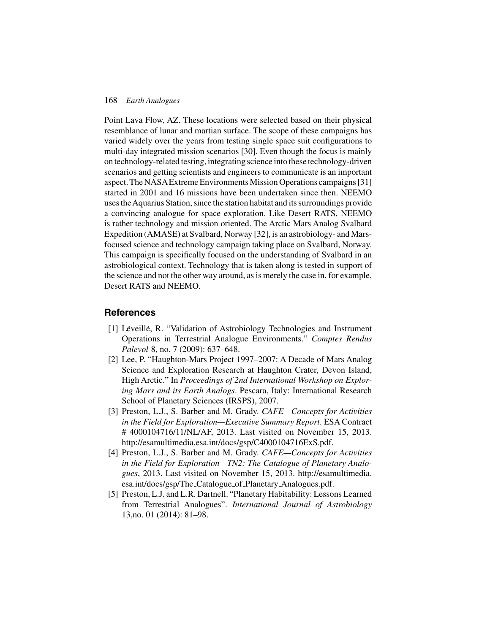#### 168 *Earth Analogues*

Point Lava Flow, AZ. These locations were selected based on their physical resemblance of lunar and martian surface. The scope of these campaigns has varied widely over the years from testing single space suit configurations to multi-day integrated mission scenarios [30]. Even though the focus is mainly on technology-related testing, integrating science into these technology-driven scenarios and getting scientists and engineers to communicate is an important aspect. The NASAExtreme EnvironmentsMission Operations campaigns [31] started in 2001 and 16 missions have been undertaken since then. NEEMO uses theAquarius Station, since the station habitat and its surroundings provide a convincing analogue for space exploration. Like Desert RATS, NEEMO is rather technology and mission oriented. The Arctic Mars Analog Svalbard Expedition (AMASE) at Svalbard, Norway [32], is an astrobiology- and Marsfocused science and technology campaign taking place on Svalbard, Norway. This campaign is specifically focused on the understanding of Svalbard in an astrobiological context. Technology that is taken along is tested in support of the science and not the other way around, as is merely the case in, for example, Desert RATS and NEEMO.

# **References**

- [1] Léveillé, R. "Validation of Astrobiology Technologies and Instrument Operations in Terrestrial Analogue Environments." *Comptes Rendus Palevol* 8, no. 7 (2009): 637–648.
- [2] Lee, P. "Haughton-Mars Project 1997–2007: A Decade of Mars Analog Science and Exploration Research at Haughton Crater, Devon Island, High Arctic." In *Proceedings of 2nd International Workshop on Exploring Mars and its Earth Analogs*. Pescara, Italy: International Research School of Planetary Sciences (IRSPS), 2007.
- [3] Preston, L.J., S. Barber and M. Grady. *CAFE—Concepts for Activities in the Field for Exploration—Executive Summary Report*. ESA Contract # 4000104716/11/NL/AF, 2013. Last visited on November 15, 2013. http://esamultimedia.esa.int/docs/gsp/C4000104716ExS.pdf.
- [4] Preston, L.J., S. Barber and M. Grady. *CAFE—Concepts for Activities in the Field for Exploration—TN2: The Catalogue of Planetary Analogues*, 2013. Last visited on November 15, 2013. http://esamultimedia. esa.int/docs/gsp/The Catalogue of Planetary Analogues.pdf.
- [5] Preston, L.J. and L.R. Dartnell. "Planetary Habitability: Lessons Learned from Terrestrial Analogues". *International Journal of Astrobiology* 13,no. 01 (2014): 81–98.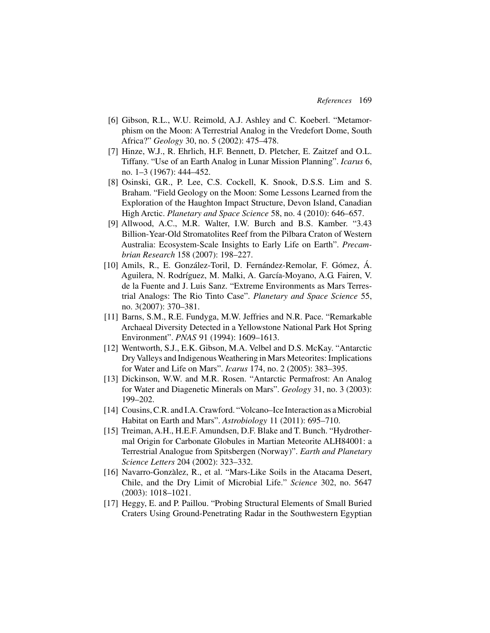- [6] Gibson, R.L., W.U. Reimold, A.J. Ashley and C. Koeberl. "Metamorphism on the Moon: A Terrestrial Analog in the Vredefort Dome, South Africa?" *Geology* 30, no. 5 (2002): 475–478.
- [7] Hinze, W.J., R. Ehrlich, H.F. Bennett, D. Pletcher, E. Zaitzef and O.L. Tiffany. "Use of an Earth Analog in Lunar Mission Planning". *Icarus* 6, no. 1–3 (1967): 444–452.
- [8] Osinski, G.R., P. Lee, C.S. Cockell, K. Snook, D.S.S. Lim and S. Braham. "Field Geology on the Moon: Some Lessons Learned from the Exploration of the Haughton Impact Structure, Devon Island, Canadian High Arctic. *Planetary and Space Science* 58, no. 4 (2010): 646–657.
- [9] Allwood, A.C., M.R. Walter, I.W. Burch and B.S. Kamber. "3.43 Billion-Year-Old Stromatolites Reef from the Pilbara Craton of Western Australia: Ecosystem-Scale Insights to Early Life on Earth". *Precambrian Research* 158 (2007): 198–227.
- [10] Amils, R., E. González-Toril, D. Fernández-Remolar, F. Gómez, Á. Aguilera, N. Rodríguez, M. Malki, A. García-Moyano, A.G. Fairen, V. de la Fuente and J. Luis Sanz. "Extreme Environments as Mars Terrestrial Analogs: The Rio Tinto Case". *Planetary and Space Science* 55, no. 3(2007): 370–381.
- [11] Barns, S.M., R.E. Fundyga, M.W. Jeffries and N.R. Pace. "Remarkable Archaeal Diversity Detected in a Yellowstone National Park Hot Spring Environment". *PNAS* 91 (1994): 1609–1613.
- [12] Wentworth, S.J., E.K. Gibson, M.A. Velbel and D.S. McKay. "Antarctic Dry Valleys and Indigenous Weathering in Mars Meteorites: Implications for Water and Life on Mars". *Icarus* 174, no. 2 (2005): 383–395.
- [13] Dickinson, W.W. and M.R. Rosen. "Antarctic Permafrost: An Analog for Water and Diagenetic Minerals on Mars". *Geology* 31, no. 3 (2003): 199–202.
- [14] Cousins, C.R. and I.A. Crawford. "Volcano–Ice Interaction as a Microbial Habitat on Earth and Mars". *Astrobiology* 11 (2011): 695–710.
- [15] Treiman, A.H., H.E.F. Amundsen, D.F. Blake and T. Bunch. "Hydrothermal Origin for Carbonate Globules in Martian Meteorite ALH84001: a Terrestrial Analogue from Spitsbergen (Norway)". *Earth and Planetary Science Letters* 204 (2002): 323–332.
- [16] Navarro-Gonzàlez, R., et al. "Mars-Like Soils in the Atacama Desert, Chile, and the Dry Limit of Microbial Life." *Science* 302, no. 5647 (2003): 1018–1021.
- [17] Heggy, E. and P. Paillou. "Probing Structural Elements of Small Buried Craters Using Ground-Penetrating Radar in the Southwestern Egyptian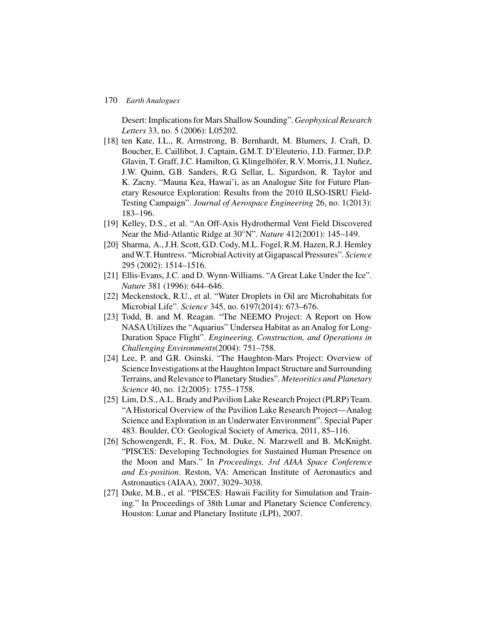#### 170 *Earth Analogues*

Desert: Implications for Mars Shallow Sounding". *Geophysical Research Letters* 33, no. 5 (2006): L05202.

- [18] ten Kate, I.L., R. Armstrong, B. Bernhardt, M. Blumers, J. Craft, D. Boucher, E. Caillibot, J. Captain, G.M.T. D'Eleuterio, J.D. Farmer, D.P. Glavin, T. Graff, J.C. Hamilton, G. Klingelhöfer, R.V. Morris, J.I. Nuñez, J.W. Quinn, G.B. Sanders, R.G. Sellar, L. Sigurdson, R. Taylor and K. Zacny. "Mauna Kea, Hawai'i, as an Analogue Site for Future Planetary Resource Exploration: Results from the 2010 ILSO-ISRU Field-Testing Campaign". *Journal of Aerospace Engineering* 26, no. 1(2013): 183–196.
- [19] Kelley, D.S., et al. "An Off-Axis Hydrothermal Vent Field Discovered Near the Mid-Atlantic Ridge at 30◦N". *Nature* 412(2001): 145–149.
- [20] Sharma, A., J.H. Scott, G.D. Cody, M.L. Fogel, R.M. Hazen, R.J. Hemley andW.T. Huntress. "MicrobialActivity at Gigapascal Pressures". *Science* 295 (2002): 1514–1516.
- [21] Ellis-Evans, J.C. and D. Wynn-Williams. "A Great Lake Under the Ice". *Nature* 381 (1996): 644–646.
- [22] Meckenstock, R.U., et al. "Water Droplets in Oil are Microhabitats for Microbial Life". *Science* 345, no. 6197(2014): 673–676.
- [23] Todd, B. and M. Reagan. "The NEEMO Project: A Report on How NASA Utilizes the "Aquarius" Undersea Habitat as an Analog for Long-Duration Space Flight". *Engineering, Construction, and Operations in Challenging Environments*(2004): 751–758.
- [24] Lee, P. and G.R. Osinski. "The Haughton-Mars Project: Overview of Science Investigations at the Haughton Impact Structure and Surrounding Terrains, and Relevance to Planetary Studies". *Meteoritics and Planetary Science* 40, no. 12(2005): 1755–1758.
- [25] Lim, D.S.,A.L. Brady and Pavilion Lake Research Project (PLRP) Team. "A Historical Overview of the Pavilion Lake Research Project—Analog Science and Exploration in an Underwater Environment". Special Paper 483. Boulder, CO: Geological Society of America, 2011, 85–116.
- [26] Schowengerdt, F., R. Fox, M. Duke, N. Marzwell and B. McKnight. "PISCES: Developing Technologies for Sustained Human Presence on the Moon and Mars." In *Proceedings, 3rd AIAA Space Conference and Ex-position*. Reston, VA: American Institute of Aeronautics and Astronautics (AIAA), 2007, 3029–3038.
- [27] Duke, M.B., et al. "PISCES: Hawaii Facility for Simulation and Training." In Proceedings of 38th Lunar and Planetary Science Conferency. Houston: Lunar and Planetary Institute (LPI), 2007.